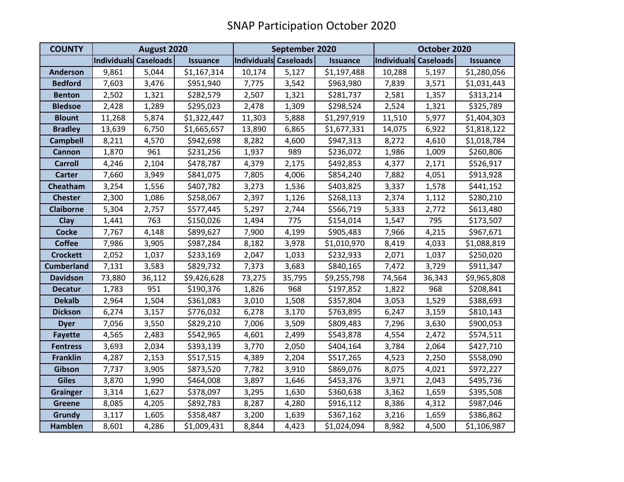| <b>COUNTY</b>     | August 2020           |        |                 | September 2020        |        |                 | October 2020          |        |                 |
|-------------------|-----------------------|--------|-----------------|-----------------------|--------|-----------------|-----------------------|--------|-----------------|
|                   | Individuals Caseloads |        | <b>Issuance</b> | Individuals Caseloads |        | <b>Issuance</b> | Individuals Caseloads |        | <b>Issuance</b> |
| <b>Anderson</b>   | 9,861                 | 5,044  | \$1,167,314     | 10,174                | 5,127  | \$1,197,488     | 10,288                | 5,197  | \$1,280,056     |
| <b>Bedford</b>    | 7,603                 | 3,476  | \$951,940       | 7,775                 | 3,542  | \$963,980       | 7,839                 | 3,571  | \$1,031,443     |
| <b>Benton</b>     | 2,502                 | 1,321  | \$282,579       | 2,507                 | 1,321  | \$281,737       | 2,581                 | 1,357  | \$313,214       |
| <b>Bledsoe</b>    | 2,428                 | 1,289  | \$295,023       | 2,478                 | 1,309  | \$298,524       | 2,524                 | 1,321  | \$325,789       |
| <b>Blount</b>     | 11,268                | 5,874  | \$1,322,447     | 11,303                | 5,888  | \$1,297,919     | 11,510                | 5,977  | \$1,404,303     |
| <b>Bradley</b>    | 13,639                | 6,750  | \$1,665,657     | 13,890                | 6,865  | \$1,677,331     | 14,075                | 6,922  | \$1,818,122     |
| <b>Campbell</b>   | 8,211                 | 4,570  | \$942,698       | 8,282                 | 4,600  | \$947,313       | 8,272                 | 4,610  | \$1,018,784     |
| Cannon            | 1,870                 | 961    | \$231,256       | 1,937                 | 989    | \$236,072       | 1,986                 | 1,009  | \$260,806       |
| <b>Carroll</b>    | 4,246                 | 2,104  | \$478,787       | 4,379                 | 2,175  | \$492,853       | 4,377                 | 2,171  | \$526,917       |
| <b>Carter</b>     | 7,660                 | 3,949  | \$841,075       | 7,805                 | 4,006  | \$854,240       | 7,882                 | 4,051  | \$913,928       |
| Cheatham          | 3,254                 | 1,556  | \$407,782       | 3,273                 | 1,536  | \$403,825       | 3,337                 | 1,578  | \$441,152       |
| <b>Chester</b>    | 2,300                 | 1,086  | \$258,067       | 2,397                 | 1,126  | \$268,113       | 2,374                 | 1,112  | \$280,210       |
| <b>Claiborne</b>  | 5,304                 | 2,757  | \$577,445       | 5,297                 | 2,744  | \$566,719       | 5,333                 | 2,772  | \$613,480       |
| Clay              | 1,441                 | 763    | \$150,026       | 1,494                 | 775    | \$154,014       | 1,547                 | 795    | \$173,507       |
| <b>Cocke</b>      | 7,767                 | 4,148  | \$899,627       | 7,900                 | 4,199  | \$905,483       | 7,966                 | 4,215  | \$967,671       |
| <b>Coffee</b>     | 7,986                 | 3,905  | \$987,284       | 8,182                 | 3,978  | \$1,010,970     | 8,419                 | 4,033  | \$1,088,819     |
| <b>Crockett</b>   | 2,052                 | 1,037  | \$233,169       | 2,047                 | 1,033  | \$232,933       | 2,071                 | 1,037  | \$250,020       |
| <b>Cumberland</b> | 7,131                 | 3,583  | \$829,732       | 7,373                 | 3,683  | \$840,165       | 7,472                 | 3,729  | \$911,347       |
| <b>Davidson</b>   | 73,880                | 36,112 | \$9,426,628     | 73,275                | 35,795 | \$9,255,798     | 74,564                | 36,343 | \$9,965,808     |
| <b>Decatur</b>    | 1,783                 | 951    | \$190,376       | 1,826                 | 968    | \$197,852       | 1,822                 | 968    | \$208,841       |
| <b>Dekalb</b>     | 2,964                 | 1,504  | \$361,083       | 3,010                 | 1,508  | \$357,804       | 3,053                 | 1,529  | \$388,693       |
| <b>Dickson</b>    | 6,274                 | 3,157  | \$776,032       | 6,278                 | 3,170  | \$763,895       | 6,247                 | 3,159  | \$810,143       |
| <b>Dyer</b>       | 7,056                 | 3,550  | \$829,210       | 7,006                 | 3,509  | \$809,483       | 7,296                 | 3,630  | \$900,053       |
| <b>Fayette</b>    | 4,565                 | 2,483  | \$542,965       | 4,601                 | 2,499  | \$543,878       | 4,554                 | 2,472  | \$574,511       |
| <b>Fentress</b>   | 3,693                 | 2,034  | \$393,139       | 3,770                 | 2,050  | \$404,164       | 3,784                 | 2,064  | \$427,710       |
| <b>Franklin</b>   | 4,287                 | 2,153  | \$517,515       | 4,389                 | 2,204  | \$517,265       | 4,523                 | 2,250  | \$558,090       |
| Gibson            | 7,737                 | 3,905  | \$873,520       | 7,782                 | 3,910  | \$869,076       | 8,075                 | 4,021  | \$972,227       |
| <b>Giles</b>      | 3,870                 | 1,990  | \$464,008       | 3,897                 | 1,646  | \$453,376       | 3,971                 | 2,043  | \$495,736       |
| <b>Grainger</b>   | 3,314                 | 1,627  | \$378,097       | 3,295                 | 1,630  | \$360,638       | 3,362                 | 1,659  | \$395,508       |
| <b>Greene</b>     | 8,085                 | 4,205  | \$892,783       | 8,287                 | 4,280  | \$916,112       | 8,386                 | 4,312  | \$987,046       |
| <b>Grundy</b>     | 3,117                 | 1,605  | \$358,487       | 3,200                 | 1,639  | \$367,162       | 3,216                 | 1,659  | \$386,862       |
| <b>Hamblen</b>    | 8,601                 | 4,286  | \$1,009,431     | 8,844                 | 4,423  | \$1,024,094     | 8,982                 | 4,500  | \$1,106,987     |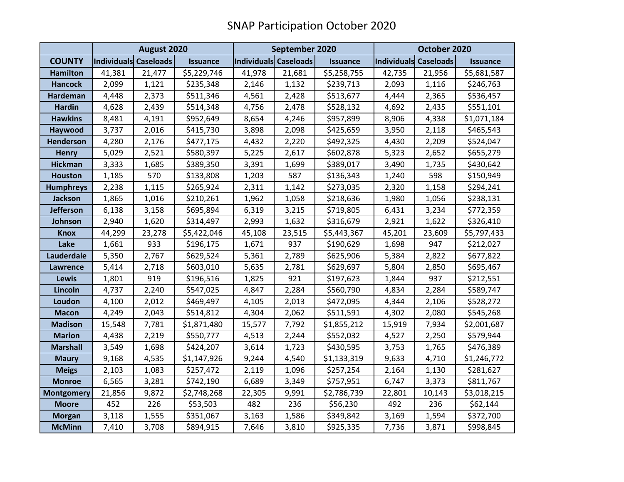|                   | August 2020           |        |                 | September 2020        |        |                 | October 2020          |        |                 |
|-------------------|-----------------------|--------|-----------------|-----------------------|--------|-----------------|-----------------------|--------|-----------------|
| <b>COUNTY</b>     | Individuals Caseloads |        | <b>Issuance</b> | Individuals Caseloads |        | <b>Issuance</b> | Individuals Caseloads |        | <b>Issuance</b> |
| <b>Hamilton</b>   | 41,381                | 21,477 | \$5,229,746     | 41,978                | 21,681 | \$5,258,755     | 42,735                | 21,956 | \$5,681,587     |
| <b>Hancock</b>    | 2,099                 | 1,121  | \$235,348       | 2,146                 | 1,132  | \$239,713       | 2,093                 | 1,116  | \$246,763       |
| <b>Hardeman</b>   | 4,448                 | 2,373  | \$511,346       | 4,561                 | 2,428  | \$513,677       | 4,444                 | 2,365  | \$536,457       |
| <b>Hardin</b>     | 4,628                 | 2,439  | \$514,348       | 4,756                 | 2,478  | \$528,132       | 4,692                 | 2,435  | \$551,101       |
| <b>Hawkins</b>    | 8,481                 | 4,191  | \$952,649       | 8,654                 | 4,246  | \$957,899       | 8,906                 | 4,338  | \$1,071,184     |
| Haywood           | 3,737                 | 2,016  | \$415,730       | 3,898                 | 2,098  | \$425,659       | 3,950                 | 2,118  | \$465,543       |
| <b>Henderson</b>  | 4,280                 | 2,176  | \$477,175       | 4,432                 | 2,220  | \$492,325       | 4,430                 | 2,209  | \$524,047       |
| <b>Henry</b>      | 5,029                 | 2,521  | \$580,397       | 5,225                 | 2,617  | \$602,878       | 5,323                 | 2,652  | \$655,279       |
| <b>Hickman</b>    | 3,333                 | 1,685  | \$389,350       | 3,391                 | 1,699  | \$389,017       | 3,490                 | 1,735  | \$430,642       |
| <b>Houston</b>    | 1,185                 | 570    | \$133,808       | 1,203                 | 587    | \$136,343       | 1,240                 | 598    | \$150,949       |
| <b>Humphreys</b>  | 2,238                 | 1,115  | \$265,924       | 2,311                 | 1,142  | \$273,035       | 2,320                 | 1,158  | \$294,241       |
| Jackson           | 1,865                 | 1,016  | \$210,261       | 1,962                 | 1,058  | \$218,636       | 1,980                 | 1,056  | \$238,131       |
| <b>Jefferson</b>  | 6,138                 | 3,158  | \$695,894       | 6,319                 | 3,215  | \$719,805       | 6,431                 | 3,234  | \$772,359       |
| Johnson           | 2,940                 | 1,620  | \$314,497       | 2,993                 | 1,632  | \$316,679       | 2,921                 | 1,622  | \$326,410       |
| <b>Knox</b>       | 44,299                | 23,278 | \$5,422,046     | 45,108                | 23,515 | \$5,443,367     | 45,201                | 23,609 | \$5,797,433     |
| Lake              | 1,661                 | 933    | \$196,175       | 1,671                 | 937    | \$190,629       | 1,698                 | 947    | \$212,027       |
| Lauderdale        | 5,350                 | 2,767  | \$629,524       | 5,361                 | 2,789  | \$625,906       | 5,384                 | 2,822  | \$677,822       |
| <b>Lawrence</b>   | 5,414                 | 2,718  | \$603,010       | 5,635                 | 2,781  | \$629,697       | 5,804                 | 2,850  | \$695,467       |
| Lewis             | 1,801                 | 919    | \$196,516       | 1,825                 | 921    | \$197,623       | 1,844                 | 937    | \$212,551       |
| Lincoln           | 4,737                 | 2,240  | \$547,025       | 4,847                 | 2,284  | \$560,790       | 4,834                 | 2,284  | \$589,747       |
| Loudon            | 4,100                 | 2,012  | \$469,497       | 4,105                 | 2,013  | \$472,095       | 4,344                 | 2,106  | \$528,272       |
| <b>Macon</b>      | 4,249                 | 2,043  | \$514,812       | 4,304                 | 2,062  | \$511,591       | 4,302                 | 2,080  | \$545,268       |
| <b>Madison</b>    | 15,548                | 7,781  | \$1,871,480     | 15,577                | 7,792  | \$1,855,212     | 15,919                | 7,934  | \$2,001,687     |
| <b>Marion</b>     | 4,438                 | 2,219  | \$550,777       | 4,513                 | 2,244  | \$552,032       | 4,527                 | 2,250  | \$579,944       |
| <b>Marshall</b>   | 3,549                 | 1,698  | \$424,207       | 3,614                 | 1,723  | \$430,595       | 3,753                 | 1,765  | \$476,389       |
| <b>Maury</b>      | 9,168                 | 4,535  | \$1,147,926     | 9,244                 | 4,540  | \$1,133,319     | 9,633                 | 4,710  | \$1,246,772     |
| <b>Meigs</b>      | 2,103                 | 1,083  | \$257,472       | 2,119                 | 1,096  | \$257,254       | 2,164                 | 1,130  | \$281,627       |
| <b>Monroe</b>     | 6,565                 | 3,281  | \$742,190       | 6,689                 | 3,349  | \$757,951       | 6,747                 | 3,373  | \$811,767       |
| <b>Montgomery</b> | 21,856                | 9,872  | \$2,748,268     | 22,305                | 9,991  | \$2,786,739     | 22,801                | 10,143 | \$3,018,215     |
| <b>Moore</b>      | 452                   | 226    | \$53,503        | 482                   | 236    | \$56,230        | 492                   | 236    | \$62,144        |
| <b>Morgan</b>     | 3,118                 | 1,555  | \$351,067       | 3,163                 | 1,586  | \$349,842       | 3,169                 | 1,594  | \$372,700       |
| <b>McMinn</b>     | 7,410                 | 3,708  | \$894,915       | 7,646                 | 3,810  | \$925,335       | 7,736                 | 3,871  | \$998,845       |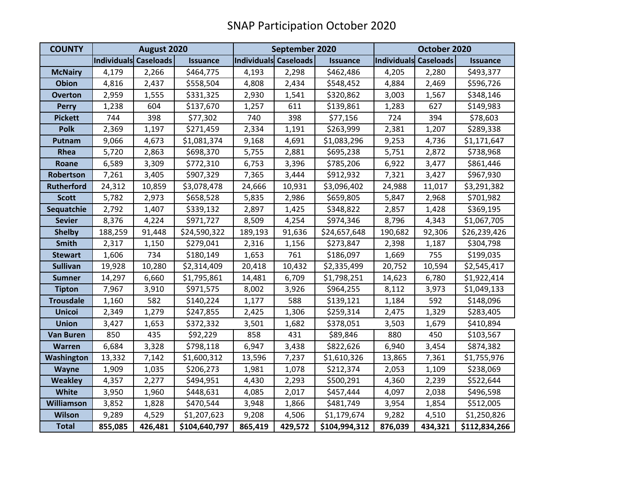| <b>COUNTY</b>     | August 2020           |         |                 | September 2020        |         |                 | October 2020          |         |                 |
|-------------------|-----------------------|---------|-----------------|-----------------------|---------|-----------------|-----------------------|---------|-----------------|
|                   | Individuals Caseloads |         | <b>Issuance</b> | Individuals Caseloads |         | <b>Issuance</b> | Individuals Caseloads |         | <b>Issuance</b> |
| <b>McNairy</b>    | 4,179                 | 2,266   | \$464,775       | 4,193                 | 2,298   | \$462,486       | 4,205                 | 2,280   | \$493,377       |
| <b>Obion</b>      | 4,816                 | 2,437   | \$558,504       | 4,808                 | 2,434   | \$548,452       | 4,884                 | 2,469   | \$596,726       |
| <b>Overton</b>    | 2,959                 | 1,555   | \$331,325       | 2,930                 | 1,541   | \$320,862       | 3,003                 | 1,567   | \$348,146       |
| <b>Perry</b>      | 1,238                 | 604     | \$137,670       | 1,257                 | 611     | \$139,861       | 1,283                 | 627     | \$149,983       |
| <b>Pickett</b>    | 744                   | 398     | \$77,302        | 740                   | 398     | \$77,156        | 724                   | 394     | \$78,603        |
| <b>Polk</b>       | 2,369                 | 1,197   | \$271,459       | 2,334                 | 1,191   | \$263,999       | 2,381                 | 1,207   | \$289,338       |
| Putnam            | 9,066                 | 4,673   | \$1,081,374     | 9,168                 | 4,691   | \$1,083,296     | 9,253                 | 4,736   | \$1,171,647     |
| Rhea              | 5,720                 | 2,863   | \$698,370       | 5,755                 | 2,881   | \$695,238       | 5,751                 | 2,872   | \$738,968       |
| Roane             | 6,589                 | 3,309   | \$772,310       | 6,753                 | 3,396   | \$785,206       | 6,922                 | 3,477   | \$861,446       |
| Robertson         | 7,261                 | 3,405   | \$907,329       | 7,365                 | 3,444   | \$912,932       | 7,321                 | 3,427   | \$967,930       |
| <b>Rutherford</b> | 24,312                | 10,859  | \$3,078,478     | 24,666                | 10,931  | \$3,096,402     | 24,988                | 11,017  | \$3,291,382     |
| <b>Scott</b>      | 5,782                 | 2,973   | \$658,528       | 5,835                 | 2,986   | \$659,805       | 5,847                 | 2,968   | \$701,982       |
| Sequatchie        | 2,792                 | 1,407   | \$339,132       | 2,897                 | 1,425   | \$348,822       | 2,857                 | 1,428   | \$369,195       |
| <b>Sevier</b>     | 8,376                 | 4,224   | \$971,727       | 8,509                 | 4,254   | \$974,346       | 8,796                 | 4,343   | \$1,067,705     |
| <b>Shelby</b>     | 188,259               | 91,448  | \$24,590,322    | 189,193               | 91,636  | \$24,657,648    | 190,682               | 92,306  | \$26,239,426    |
| <b>Smith</b>      | 2,317                 | 1,150   | \$279,041       | 2,316                 | 1,156   | \$273,847       | 2,398                 | 1,187   | \$304,798       |
| <b>Stewart</b>    | 1,606                 | 734     | \$180,149       | 1,653                 | 761     | \$186,097       | 1,669                 | 755     | \$199,035       |
| <b>Sullivan</b>   | 19,928                | 10,280  | \$2,314,409     | 20,418                | 10,432  | \$2,335,499     | 20,752                | 10,594  | \$2,545,417     |
| <b>Sumner</b>     | 14,297                | 6,660   | \$1,795,861     | 14,481                | 6,709   | \$1,798,251     | 14,623                | 6,780   | \$1,922,414     |
| <b>Tipton</b>     | 7,967                 | 3,910   | \$971,575       | 8,002                 | 3,926   | \$964,255       | 8,112                 | 3,973   | \$1,049,133     |
| <b>Trousdale</b>  | 1,160                 | 582     | \$140,224       | 1,177                 | 588     | \$139,121       | 1,184                 | 592     | \$148,096       |
| <b>Unicoi</b>     | 2,349                 | 1,279   | \$247,855       | 2,425                 | 1,306   | \$259,314       | 2,475                 | 1,329   | \$283,405       |
| <b>Union</b>      | 3,427                 | 1,653   | \$372,332       | 3,501                 | 1,682   | \$378,051       | 3,503                 | 1,679   | \$410,894       |
| <b>Van Buren</b>  | 850                   | 435     | \$92,229        | 858                   | 431     | \$89,846        | 880                   | 450     | \$103,567       |
| Warren            | 6,684                 | 3,328   | \$798,118       | 6,947                 | 3,438   | \$822,626       | 6,940                 | 3,454   | \$874,382       |
| Washington        | 13,332                | 7,142   | \$1,600,312     | 13,596                | 7,237   | \$1,610,326     | 13,865                | 7,361   | \$1,755,976     |
| Wayne             | 1,909                 | 1,035   | \$206,273       | 1,981                 | 1,078   | \$212,374       | 2,053                 | 1,109   | \$238,069       |
| <b>Weakley</b>    | 4,357                 | 2,277   | \$494,951       | 4,430                 | 2,293   | \$500,291       | 4,360                 | 2,239   | \$522,644       |
| White             | 3,950                 | 1,960   | \$448,631       | 4,085                 | 2,017   | \$457,444       | 4,097                 | 2,038   | \$496,598       |
| <b>Williamson</b> | 3,852                 | 1,828   | \$470,544       | 3,948                 | 1,866   | \$481,749       | 3,954                 | 1,854   | \$512,005       |
| <b>Wilson</b>     | 9,289                 | 4,529   | \$1,207,623     | 9,208                 | 4,506   | \$1,179,674     | 9,282                 | 4,510   | \$1,250,826     |
| <b>Total</b>      | 855,085               | 426,481 | \$104,640,797   | 865,419               | 429,572 | \$104,994,312   | 876,039               | 434,321 | \$112,834,266   |